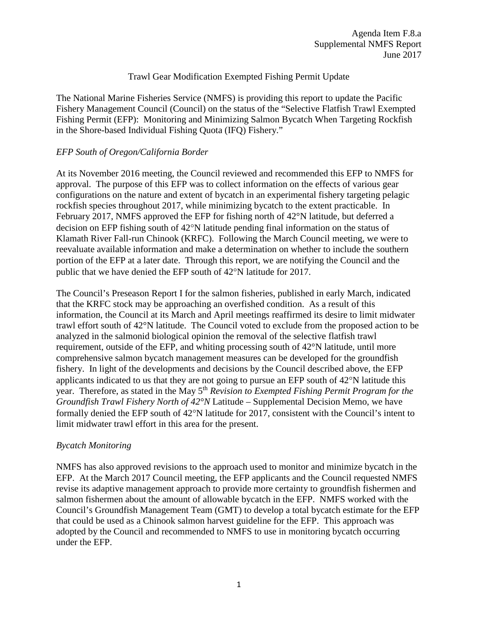## Trawl Gear Modification Exempted Fishing Permit Update

The National Marine Fisheries Service (NMFS) is providing this report to update the Pacific Fishery Management Council (Council) on the status of the "Selective Flatfish Trawl Exempted Fishing Permit (EFP): Monitoring and Minimizing Salmon Bycatch When Targeting Rockfish in the Shore-based Individual Fishing Quota (IFQ) Fishery."

# *EFP South of Oregon/California Border*

At its November 2016 meeting, the Council reviewed and recommended this EFP to NMFS for approval. The purpose of this EFP was to collect information on the effects of various gear configurations on the nature and extent of bycatch in an experimental fishery targeting pelagic rockfish species throughout 2017, while minimizing bycatch to the extent practicable. In February 2017, NMFS approved the EFP for fishing north of 42°N latitude, but deferred a decision on EFP fishing south of 42°N latitude pending final information on the status of Klamath River Fall-run Chinook (KRFC). Following the March Council meeting, we were to reevaluate available information and make a determination on whether to include the southern portion of the EFP at a later date. Through this report, we are notifying the Council and the public that we have denied the EFP south of 42°N latitude for 2017.

The Council's Preseason Report I for the salmon fisheries, published in early March, indicated that the KRFC stock may be approaching an overfished condition. As a result of this information, the Council at its March and April meetings reaffirmed its desire to limit midwater trawl effort south of 42°N latitude. The Council voted to exclude from the proposed action to be analyzed in the salmonid biological opinion the removal of the selective flatfish trawl requirement, outside of the EFP, and whiting processing south of 42°N latitude, until more comprehensive salmon bycatch management measures can be developed for the groundfish fishery. In light of the developments and decisions by the Council described above, the EFP applicants indicated to us that they are not going to pursue an EFP south of 42°N latitude this year. Therefore, as stated in the May 5<sup>th</sup> *Revision to Exempted Fishing Permit Program for the Groundfish Trawl Fishery North of 42°N* Latitude – Supplemental Decision Memo, we have formally denied the EFP south of 42°N latitude for 2017, consistent with the Council's intent to limit midwater trawl effort in this area for the present.

### *Bycatch Monitoring*

NMFS has also approved revisions to the approach used to monitor and minimize bycatch in the EFP. At the March 2017 Council meeting, the EFP applicants and the Council requested NMFS revise its adaptive management approach to provide more certainty to groundfish fishermen and salmon fishermen about the amount of allowable bycatch in the EFP. NMFS worked with the Council's Groundfish Management Team (GMT) to develop a total bycatch estimate for the EFP that could be used as a Chinook salmon harvest guideline for the EFP. This approach was adopted by the Council and recommended to NMFS to use in monitoring bycatch occurring under the EFP.